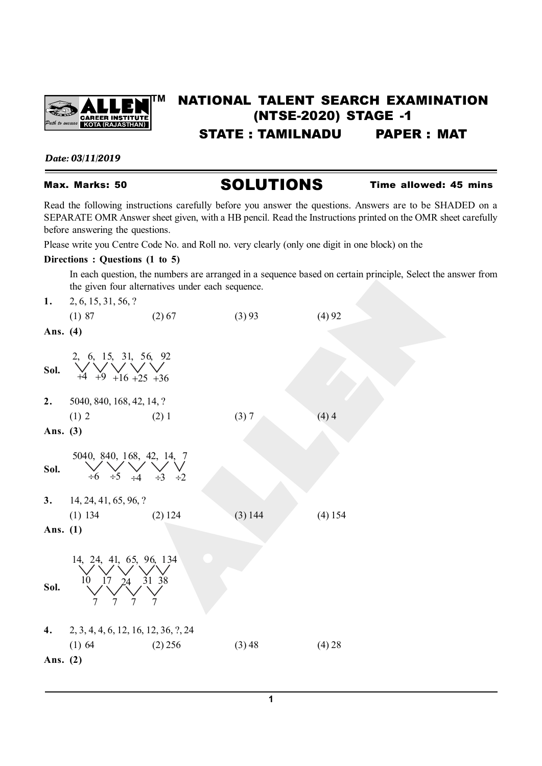

# **TM** NATIONAL TALENT SEARCH EXAMINATION (NTSE-2020) STAGE -1 STATE : TAMILNADU PAPER : MAT

*Date: 03/11/2019*

Max. Marks: 50 **SOLUTIONS** Time allowed: 45 mins

Read the following instructions carefully before you answer the questions. Answers are to be SHADED on a SEPARATE OMR Answer sheet given, with a HB pencil. Read the Instructions printed on the OMR sheet carefully before answering the questions.

Please write you Centre Code No. and Roll no. very clearly (only one digit in one block) on the

## **Directions : Questions (1 to 5)**

In each question, the numbers are arranged in a sequence based on certain principle, Select the answer from the given four alternatives under each sequence.

| 1.         | 2, 6, 15, 31, 56, ?                                           |                      |         |         |
|------------|---------------------------------------------------------------|----------------------|---------|---------|
|            | (1) 87                                                        | $(2)$ 67             | (3) 93  | (4)92   |
| Ans. (4)   |                                                               |                      |         |         |
| Sol.       | 2, 6, 15, 31, 56, 92<br>$+9$ +16 +25 +36<br>$+4$              |                      |         |         |
| 2.         | 5040, 840, 168, 42, 14, ?                                     |                      |         |         |
|            | (1) 2                                                         | $(2)$ 1              | (3) 7   | (4)4    |
| Ans. (3)   |                                                               |                      |         |         |
| Sol.       | 5040, 840, 168, 42, 14, 7<br>$\div 5$<br>$\div 6$<br>$\div 4$ | $\div 3$<br>$\div 2$ |         |         |
|            | 3. $14, 24, 41, 65, 96, ?$                                    |                      |         |         |
|            | $(1)$ 134                                                     | $(2)$ 124            | (3) 144 | (4) 154 |
| Ans. $(1)$ |                                                               |                      |         |         |
| Sol.       | 14, 24, 41, 65, 96, 134<br>10<br>17<br>24                     | 31 38                |         |         |
| 4.         | 2, 3, 4, 4, 6, 12, 16, 12, 36, ?, 24                          |                      |         |         |
|            | $(1)$ 64                                                      | $(2)$ 256            | (3) 48  | (4) 28  |
| Ans. $(2)$ |                                                               |                      |         |         |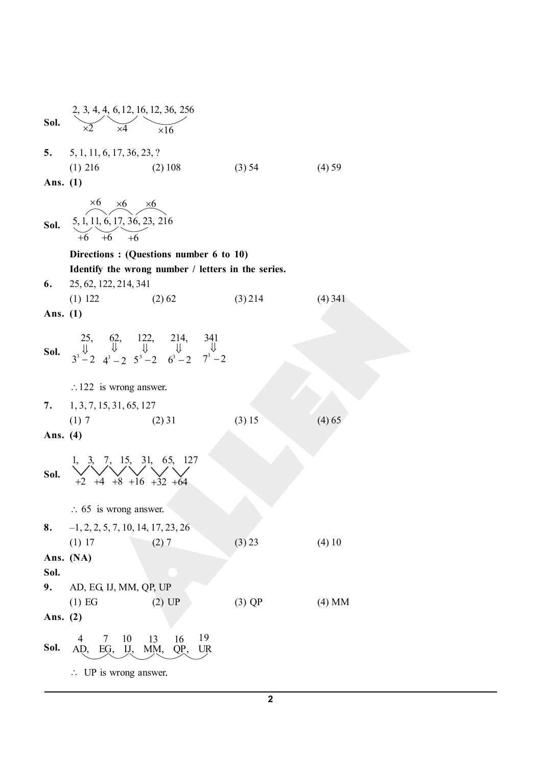| Sol.       | 2, 3, 4, 4, 6, 12, 16, 12, 36, 256                                                                                                                                                                  |           |           |
|------------|-----------------------------------------------------------------------------------------------------------------------------------------------------------------------------------------------------|-----------|-----------|
|            | 5. $5, 1, 11, 6, 17, 36, 23, ?$                                                                                                                                                                     |           |           |
|            | (2) 108<br>$(1)$ 216                                                                                                                                                                                | (3) 54    | $(4)$ 59  |
| Ans. $(1)$ |                                                                                                                                                                                                     |           |           |
| Sol.       | $\times 6 \times 6 \times 6$<br>5, 1, 11, 6, 17, 36, 23, 216<br>+6 +6 +6                                                                                                                            |           |           |
|            | Directions: (Questions number 6 to 10)                                                                                                                                                              |           |           |
|            | Identify the wrong number / letters in the series.                                                                                                                                                  |           |           |
| 6.         | 25, 62, 122, 214, 341<br>$(1)$ 122 $(2)$ 62                                                                                                                                                         | $(3)$ 214 | $(4)$ 341 |
| Ans. $(1)$ |                                                                                                                                                                                                     |           |           |
|            |                                                                                                                                                                                                     |           |           |
|            | <b>Sol.</b> $\begin{array}{ccc} & 25, & 62, & 122, & 214, & 341 \\ \Downarrow & \Downarrow & \Downarrow & \Downarrow & \Downarrow \\ & 3^3 - 2 & 4^3 - 2 & 5^3 - 2 & 6^3 - 2 & 7^3 - 2 \end{array}$ |           |           |
|            | $\therefore$ 122 is wrong answer.                                                                                                                                                                   |           |           |
|            | 7. $1, 3, 7, 15, 31, 65, 127$                                                                                                                                                                       |           |           |
|            | (1) 7<br>$(2)$ 31                                                                                                                                                                                   | (3) 15    | (4) 65    |
| Ans. (4)   |                                                                                                                                                                                                     |           |           |
| Sol.       | 1, 3, 7, 15, 31, 65, 127<br>$+8$ +16 +32 +64                                                                                                                                                        |           |           |
|            | $\therefore$ 65 is wrong answer.                                                                                                                                                                    |           |           |
|            | <b>8.</b> $-1, 2, 2, 5, 7, 10, 14, 17, 23, 26$                                                                                                                                                      |           |           |
|            | (1) 17<br>(2) 7                                                                                                                                                                                     | (3) 23    | (4) 10    |
|            | Ans. (NA)                                                                                                                                                                                           |           |           |
| Sol.       |                                                                                                                                                                                                     |           |           |
| 9.         | AD, EG, IJ, MM, QP, UP                                                                                                                                                                              |           |           |
| Ans. (2)   | (1) EG<br>$(2)$ UP                                                                                                                                                                                  | $(3)$ QP  | $(4)$ MM  |
| Sol.       | 19<br>10<br>4<br>13<br>16<br>7<br>AD, EG, IJ,<br>MM,<br>QP,<br>UR                                                                                                                                   |           |           |
|            | $\therefore$ UP is wrong answer.                                                                                                                                                                    |           |           |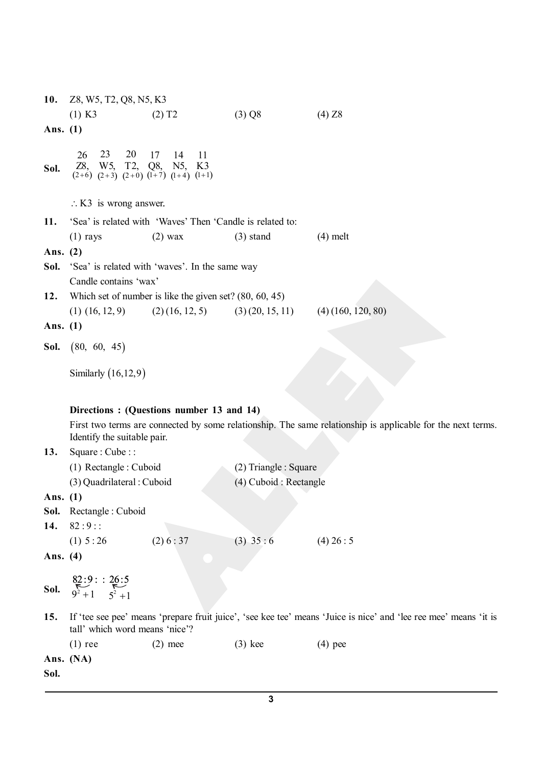| Z8, W5, T2, Q8, N5, K3                               |                       |                                                                                                                                                                                                                                                                                                               |                                                                                                                                                                                                                                                                    |                                                                                                                                                                                |
|------------------------------------------------------|-----------------------|---------------------------------------------------------------------------------------------------------------------------------------------------------------------------------------------------------------------------------------------------------------------------------------------------------------|--------------------------------------------------------------------------------------------------------------------------------------------------------------------------------------------------------------------------------------------------------------------|--------------------------------------------------------------------------------------------------------------------------------------------------------------------------------|
| $(1)$ K3                                             | $(2)$ T <sub>2</sub>  | $(3)$ Q8                                                                                                                                                                                                                                                                                                      | (4) Z8                                                                                                                                                                                                                                                             |                                                                                                                                                                                |
| Ans. (1)                                             |                       |                                                                                                                                                                                                                                                                                                               |                                                                                                                                                                                                                                                                    |                                                                                                                                                                                |
| 23<br>26                                             | 11<br>17<br>14        |                                                                                                                                                                                                                                                                                                               |                                                                                                                                                                                                                                                                    |                                                                                                                                                                                |
|                                                      |                       |                                                                                                                                                                                                                                                                                                               |                                                                                                                                                                                                                                                                    |                                                                                                                                                                                |
|                                                      |                       |                                                                                                                                                                                                                                                                                                               |                                                                                                                                                                                                                                                                    |                                                                                                                                                                                |
| $(1)$ rays                                           | $(2)$ wax             | $(3)$ stand                                                                                                                                                                                                                                                                                                   | $(4)$ melt                                                                                                                                                                                                                                                         |                                                                                                                                                                                |
| Ans. $(2)$                                           |                       |                                                                                                                                                                                                                                                                                                               |                                                                                                                                                                                                                                                                    |                                                                                                                                                                                |
|                                                      |                       |                                                                                                                                                                                                                                                                                                               |                                                                                                                                                                                                                                                                    |                                                                                                                                                                                |
|                                                      |                       |                                                                                                                                                                                                                                                                                                               |                                                                                                                                                                                                                                                                    |                                                                                                                                                                                |
| $(1)$ $(16, 12, 9)$                                  |                       | (3)(20, 15, 11)                                                                                                                                                                                                                                                                                               | $(4)$ (160, 120, 80)                                                                                                                                                                                                                                               |                                                                                                                                                                                |
| Ans. $(1)$                                           |                       |                                                                                                                                                                                                                                                                                                               |                                                                                                                                                                                                                                                                    |                                                                                                                                                                                |
| (80, 60, 45)                                         |                       |                                                                                                                                                                                                                                                                                                               |                                                                                                                                                                                                                                                                    |                                                                                                                                                                                |
|                                                      |                       |                                                                                                                                                                                                                                                                                                               |                                                                                                                                                                                                                                                                    |                                                                                                                                                                                |
|                                                      |                       |                                                                                                                                                                                                                                                                                                               |                                                                                                                                                                                                                                                                    |                                                                                                                                                                                |
|                                                      |                       |                                                                                                                                                                                                                                                                                                               |                                                                                                                                                                                                                                                                    |                                                                                                                                                                                |
|                                                      |                       |                                                                                                                                                                                                                                                                                                               |                                                                                                                                                                                                                                                                    |                                                                                                                                                                                |
|                                                      |                       |                                                                                                                                                                                                                                                                                                               |                                                                                                                                                                                                                                                                    |                                                                                                                                                                                |
|                                                      |                       |                                                                                                                                                                                                                                                                                                               |                                                                                                                                                                                                                                                                    |                                                                                                                                                                                |
| Ans. (1)                                             |                       |                                                                                                                                                                                                                                                                                                               |                                                                                                                                                                                                                                                                    |                                                                                                                                                                                |
|                                                      |                       |                                                                                                                                                                                                                                                                                                               |                                                                                                                                                                                                                                                                    |                                                                                                                                                                                |
|                                                      |                       |                                                                                                                                                                                                                                                                                                               |                                                                                                                                                                                                                                                                    |                                                                                                                                                                                |
| Ans. (4)                                             |                       |                                                                                                                                                                                                                                                                                                               |                                                                                                                                                                                                                                                                    |                                                                                                                                                                                |
| $82:9:26:5$<br>9 <sup>2</sup> + 1 5 <sup>2</sup> + 1 |                       |                                                                                                                                                                                                                                                                                                               |                                                                                                                                                                                                                                                                    |                                                                                                                                                                                |
|                                                      |                       |                                                                                                                                                                                                                                                                                                               | If 'tee see pee' means 'prepare fruit juice', 'see kee tee' means 'Juice is nice' and 'lee ree mee' means 'it is                                                                                                                                                   |                                                                                                                                                                                |
| tall' which word means 'nice'?                       |                       |                                                                                                                                                                                                                                                                                                               |                                                                                                                                                                                                                                                                    |                                                                                                                                                                                |
| $(1)$ ree                                            | $(2)$ mee             | $(3)$ kee                                                                                                                                                                                                                                                                                                     | $(4)$ pee                                                                                                                                                                                                                                                          |                                                                                                                                                                                |
|                                                      | $82:9:$ :<br>(1) 5:26 | 20<br>Z8, W5, T2, Q8, N5, K3<br>(2+6) (2+3) (2+0) (1+7) (1+4) (1+1)<br>$\therefore$ K3 is wrong answer.<br>Candle contains 'wax'<br>Similarly $(16,12,9)$<br>Identify the suitable pair.<br>Square : $Cube ::$<br>(1) Rectangle : Cuboid<br>(3) Quadrilateral : Cuboid<br>Sol. Rectangle : Cuboid<br>(2) 6:37 | 'Sea' is related with 'Waves' Then 'Candle is related to:<br><b>Sol.</b> 'Sea' is related with 'waves'. In the same way<br>Which set of number is like the given set? $(80, 60, 45)$<br>(2)(16, 12, 5)<br>Directions: (Questions number 13 and 14)<br>$(3)$ 35 : 6 | First two terms are connected by some relationship. The same relationship is applicable for the next terms.<br>(2) Triangle : Square<br>(4) Cuboid : Rectangle<br>$(4)$ 26 : 5 |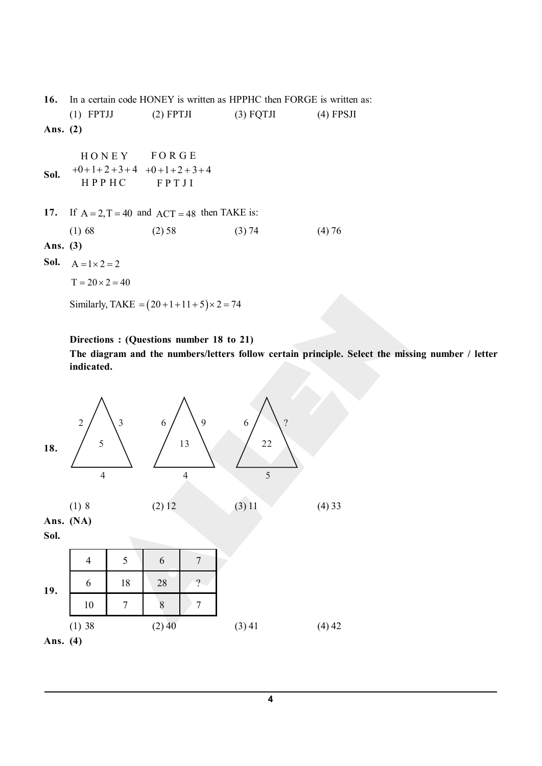**16.** In a certain code HONEY is written as HPPHC then FORGE is written as: (1) FPTJJ (2) FPTJI (3) FQTJI (4) FPSJI **Ans. (2) Sol.** HONEY FORGE  $+0+1+2+3+4$   $+0+1+2+3+4$ HPPHC FPTJI **17.** If  $A = 2, T = 40$  and  $ACT = 48$  then TAKE is: (1) 68 (2) 58 (3) 74 (4) 76 **Ans. (3) Sol.**  $A = 1 \times 2 = 2$  $T = 20 \times 2 = 40$ Similarly, TAKE =  $(20 + 1 + 11 + 5) \times 2 = 74$ 

**Directions : (Questions number 18 to 21)**

**The diagram and the numbers/letters follow certain principle. Select the missing number / letter indicated.**



**4**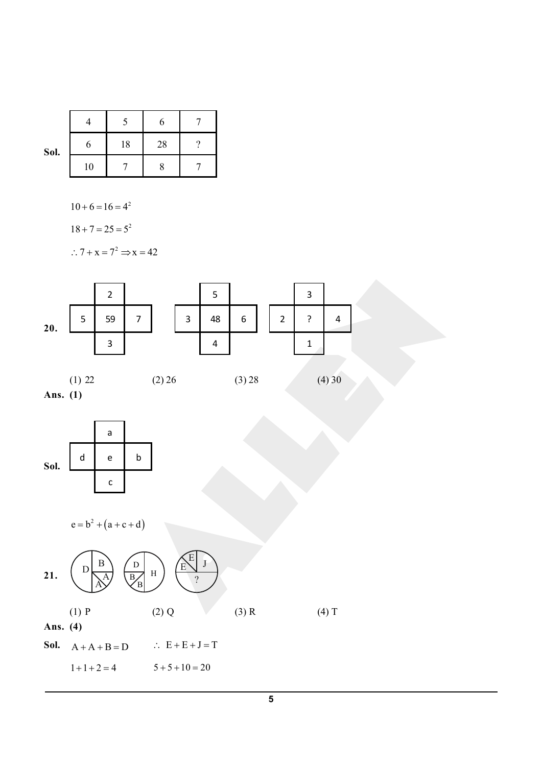|      |    |    | 6  |  |
|------|----|----|----|--|
| Sol. |    | 18 | 28 |  |
|      | 10 |    |    |  |

 $10 + 6 = 16 = 4^2$ 

 $18 + 7 = 25 = 5^2$ 

 $\therefore$  7 + x = 7<sup>2</sup>  $\Rightarrow$  x = 42



**Ans. (1)**



$$
e = b^2 + (a + c + d)
$$

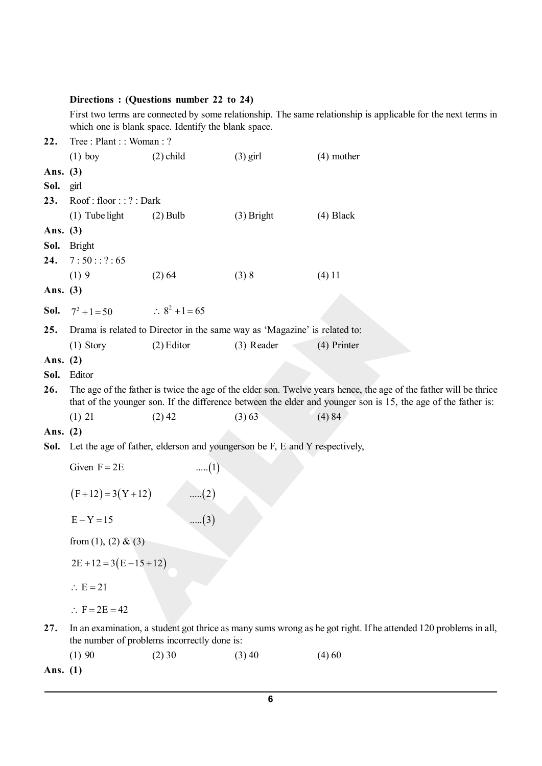# **Directions : (Questions number 22 to 24)**

First two terms are connected by some relationship. The same relationship is applicable for the next terms in which one is blank space. Identify the blank space.

| 22.        | Tree: Plant:: Woman: ?   |                                                                            |              |                                                                                                                   |  |
|------------|--------------------------|----------------------------------------------------------------------------|--------------|-------------------------------------------------------------------------------------------------------------------|--|
|            | $(1)$ boy                | $(2)$ child                                                                | $(3)$ girl   | $(4)$ mother                                                                                                      |  |
| Ans. (3)   |                          |                                                                            |              |                                                                                                                   |  |
| Sol.       | girl                     |                                                                            |              |                                                                                                                   |  |
| 23.        | Root:floor::?:Dark       |                                                                            |              |                                                                                                                   |  |
|            | $(1)$ Tube light         | $(2)$ Bulb                                                                 | $(3)$ Bright | $(4)$ Black                                                                                                       |  |
| Ans. (3)   |                          |                                                                            |              |                                                                                                                   |  |
| Sol.       | <b>Bright</b>            |                                                                            |              |                                                                                                                   |  |
| 24.        | 7:50::?:65               |                                                                            |              |                                                                                                                   |  |
|            | (1)9                     | (2) 64                                                                     | (3) 8        | (4) 11                                                                                                            |  |
| Ans. (3)   |                          |                                                                            |              |                                                                                                                   |  |
| Sol.       | $7^2 + 1 = 50$           | $\therefore 8^2 + 1 = 65$                                                  |              |                                                                                                                   |  |
|            |                          |                                                                            |              |                                                                                                                   |  |
| 25.        |                          | Drama is related to Director in the same way as 'Magazine' is related to:  |              |                                                                                                                   |  |
|            | $(1)$ Story              | $(2)$ Editor                                                               | (3) Reader   | (4) Printer                                                                                                       |  |
| Ans. $(2)$ |                          |                                                                            |              |                                                                                                                   |  |
| Sol.       | Editor                   |                                                                            |              |                                                                                                                   |  |
| 26.        |                          |                                                                            |              | The age of the father is twice the age of the elder son. Twelve years hence, the age of the father will be thrice |  |
|            |                          |                                                                            |              | that of the younger son. If the difference between the elder and younger son is 15, the age of the father is:     |  |
|            | (1) 21                   | $(2)$ 42                                                                   | (3) 63       | (4) 84                                                                                                            |  |
| Ans. (2)   |                          |                                                                            |              |                                                                                                                   |  |
| Sol.       |                          | Let the age of father, elderson and youngerson be F, E and Y respectively, |              |                                                                                                                   |  |
|            | Given $F = 2E$           | $\dots (1)$                                                                |              |                                                                                                                   |  |
|            |                          |                                                                            |              |                                                                                                                   |  |
|            | $(F+12) = 3(Y+12)$       | (2)                                                                        |              |                                                                                                                   |  |
|            | $E - Y = 15$             | $(3)$                                                                      |              |                                                                                                                   |  |
|            |                          |                                                                            |              |                                                                                                                   |  |
|            | from (1), (2) & (3)      |                                                                            |              |                                                                                                                   |  |
|            | $2E+12=3(E-15+12)$       |                                                                            |              |                                                                                                                   |  |
|            | $\therefore$ E = 21      |                                                                            |              |                                                                                                                   |  |
|            | $\therefore$ F = 2E = 42 |                                                                            |              |                                                                                                                   |  |
| 27.        |                          |                                                                            |              | In an examination, a student got thrice as many sums wrong as he got right. If he attended 120 problems in all,   |  |
|            |                          | the number of problems incorrectly done is:                                |              |                                                                                                                   |  |
|            | (1)90                    | $(2)$ 30                                                                   | $(3)$ 40     | (4)60                                                                                                             |  |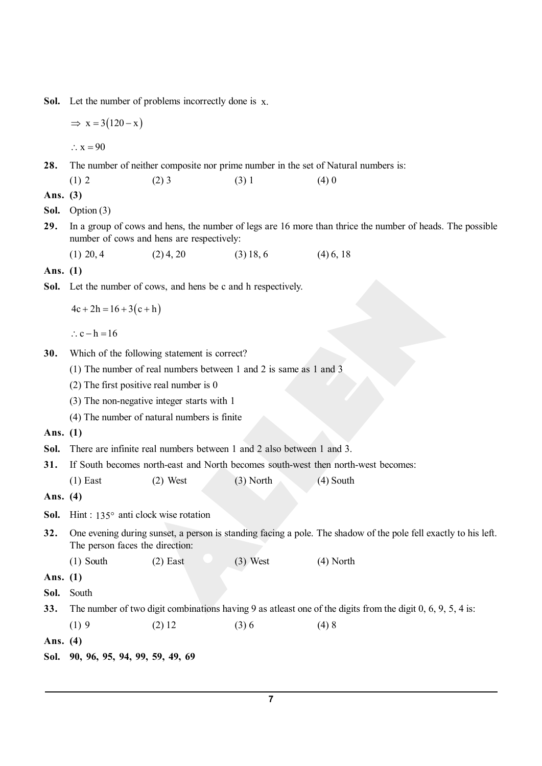Sol. Let the number of problems incorrectly done is x.

 $\Rightarrow$  x = 3 (120 - x)

 $\therefore$  x = 90

28. The number of neither composite nor prime number in the set of Natural numbers is:

(1) 2 (2) 3 (3) 1 (4) 0

**Ans. (3)**

**Sol.** Option (3)

- **29.** In a group of cows and hens, the number of legs are 16 more than thrice the number of heads. The possible number of cows and hens are respectively:
	- (1) 20, 4 (2) 4, 20 (3) 18, 6 (4) 6, 18

**Ans. (1)**

Sol. Let the number of cows, and hens be c and h respectively.

 $4c + 2h = 16 + 3(c + h)$ 

 $\therefore$  c - h = 16

- **30.** Which of the following statement is correct?
	- (1) The number of real numbers between 1 and 2 is same as 1 and 3
	- (2) The first positive real number is 0
	- (3) The non-negative integer starts with 1
	- (4) The number of natural numbers is finite

**Ans. (1)**

- **Sol.** There are infinite real numbers between 1 and 2 also between 1 and 3.
- **31.** If South becomes north-east and North becomes south-west then north-west becomes:
	- (1) East (2) West (3) North (4) South

**Ans. (4)**

- Sol. Hint: 135° anti clock wise rotation
- **32.** One evening during sunset, a person is standing facing a pole. The shadow of the pole fell exactly to his left. The person faces the direction:
	- (1) South (2) East (3) West (4) North

**Ans. (1)**

- **Sol.** South
- **33.** The number of two digit combinations having 9 as atleast one of the digits from the digit 0, 6, 9, 5, 4 is:
	- (1) 9 (2) 12 (3) 6 (4) 8

**Ans. (4)**

**Sol. 90, 96, 95, 94, 99, 59, 49, 69**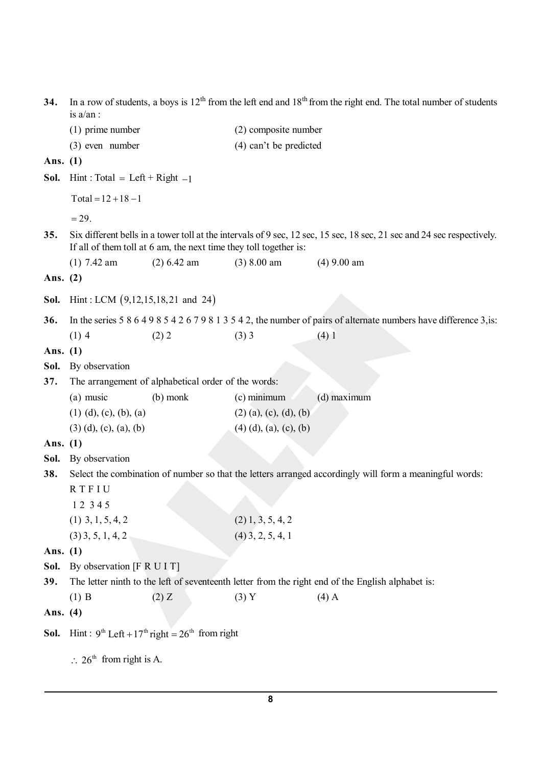**34.** In a row of students, a boys is 12<sup>th</sup> from the left end and 18<sup>th</sup> from the right end. The total number of students is a/an : (1) prime number (2) composite number (3) even number (4) can't be predicted **Ans. (1) Sol.** Hint: Total = Left + Right  $-1$  $Total = 12 + 18 - 1$  $= 29.$ **35.** Six different bells in a tower toll at the intervals of 9 sec, 12 sec, 15 sec, 18 sec, 21 sec and 24 sec respectively. If all of them toll at 6 am, the next time they toll together is: (1) 7.42 am (2) 6.42 am (3) 8.00 am (4) 9.00 am **Ans. (2) Sol.** Hint : LCM (9,12,15,18,21 and 24) **36.** In the series 5 8 6 4 9 8 5 4 2 6 7 9 8 1 3 5 4 2, the number of pairs of alternate numbers have difference 3,is: (1) 4 (2) 2 (3) 3 (4) 1 **Ans. (1) Sol.** By observation **37.** The arrangement of alphabetical order of the words: (a) music (b) monk (c) minimum (d) maximum (1) (d), (c), (b), (a) (2) (a), (c), (d), (b) (3) (d), (c), (a), (b) (4) (d), (a), (c), (b) **Ans. (1) Sol.** By observation **38.** Select the combination of number so that the letters arranged accordingly will form a meaningful words: R T F I U 1 2 3 4 5 (1)  $3, 1, 5, 4, 2$  (2)  $1, 3, 5, 4, 2$  $(3)$  3, 5, 1, 4, 2 (4) 3, 2, 5, 4, 1 **Ans. (1)** Sol. By observation [F R U I T] **39.** The letter ninth to the left of seventeenth letter from the right end of the English alphabet is: (1) B (2) Z (3) Y (4) A **Ans. (4) Sol.** Hint:  $9^{\text{th}}$  Left +  $17^{\text{th}}$  right =  $26^{\text{th}}$  from right  $\therefore$  26<sup>th</sup> from right is A.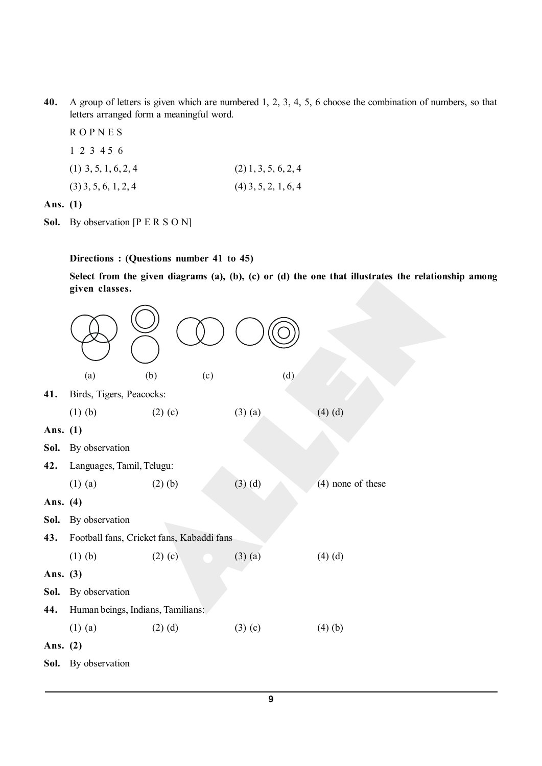- **40.** A group of letters is given which are numbered 1, 2, 3, 4, 5, 6 choose the combination of numbers, so that letters arranged form a meaningful word.
	- R O P N E S 1 2 3 4 5 6 (1)  $3, 5, 1, 6, 2, 4$  (2)  $1, 3, 5, 6, 2, 4$  $(3)$  3, 5, 6, 1, 2, 4 (4) 3, 5, 2, 1, 6, 4

**Ans. (1)**

Sol. By observation [P E R S O N]

**Directions : (Questions number 41 to 45)**

**Select from the given diagrams (a), (b), (c) or (d) the one that illustrates the relationship among given classes.**

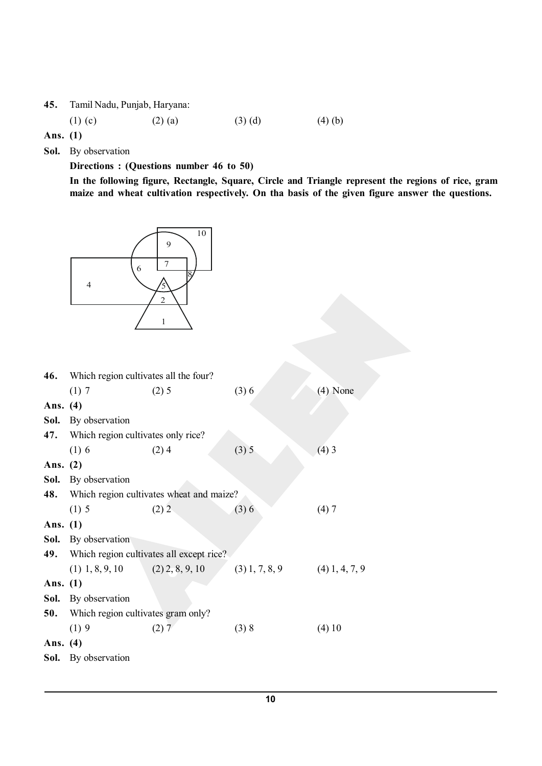**45.** Tamil Nadu, Punjab, Haryana:

(1) (c) (2) (a) (3) (d) (4) (b)

**Ans. (1)**

**Sol.** By observation

**Directions : (Questions number 46 to 50)**

**In the following figure, Rectangle, Square, Circle and Triangle represent the regions of rice, gram maize and wheat cultivation respectively. On tha basis of the given figure answer the questions.**



| Which region cultivates all the four? |         |                                                                                                                       |                                                                               |  |
|---------------------------------------|---------|-----------------------------------------------------------------------------------------------------------------------|-------------------------------------------------------------------------------|--|
| (1)7                                  | $(2)$ 5 | (3)6                                                                                                                  | $(4)$ None                                                                    |  |
| Ans. (4)                              |         |                                                                                                                       |                                                                               |  |
| By observation                        |         |                                                                                                                       |                                                                               |  |
|                                       |         |                                                                                                                       |                                                                               |  |
| $(1)$ 6                               | $(2)$ 4 | (3) 5                                                                                                                 | $(4)$ 3                                                                       |  |
| Ans. $(2)$                            |         |                                                                                                                       |                                                                               |  |
| By observation                        |         |                                                                                                                       |                                                                               |  |
|                                       |         |                                                                                                                       |                                                                               |  |
| $(1)$ 5                               | $(2)$ 2 | (3)6                                                                                                                  | (4)7                                                                          |  |
| Ans. $(1)$                            |         |                                                                                                                       |                                                                               |  |
| By observation                        |         |                                                                                                                       |                                                                               |  |
|                                       |         |                                                                                                                       |                                                                               |  |
|                                       |         |                                                                                                                       |                                                                               |  |
| Ans. $(1)$                            |         |                                                                                                                       |                                                                               |  |
| By observation                        |         |                                                                                                                       |                                                                               |  |
| Which region cultivates gram only?    |         |                                                                                                                       |                                                                               |  |
| (1)9                                  | (2)7    | (3) 8                                                                                                                 | (4) 10                                                                        |  |
| Ans. (4)                              |         |                                                                                                                       |                                                                               |  |
| <b>Sol.</b> By observation            |         |                                                                                                                       |                                                                               |  |
|                                       |         | Which region cultivates only rice?<br>Which region cultivates all except rice?<br>$(1)$ 1, 8, 9, 10 $(2)$ 2, 8, 9, 10 | Which region cultivates wheat and maize?<br>$(3) 1, 7, 8, 9$ $(4) 1, 4, 7, 9$ |  |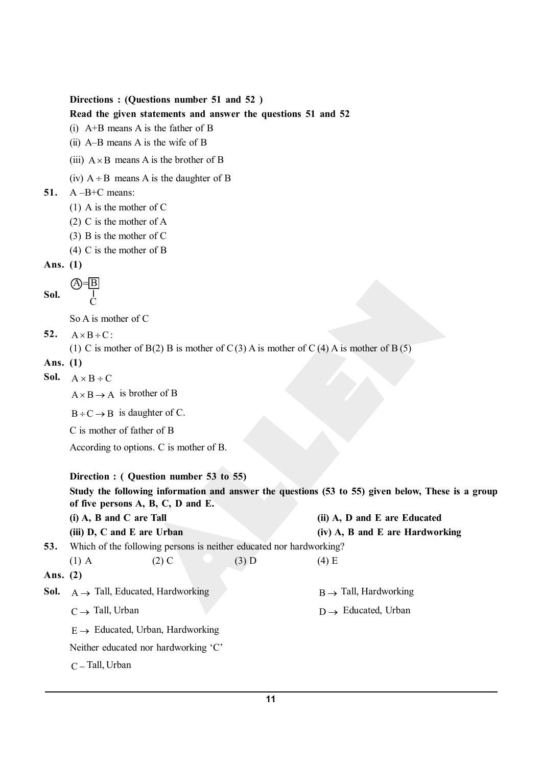```
Directions : (Questions number 51 and 52 )
```
**Read the given statements and answer the questions 51 and 52**

```
(i) A+B means A is the father of B
```
- (ii) A–B means A is the wife of B
- (iii)  $A \times B$  means A is the brother of B
- (iv)  $A \div B$  means A is the daughter of B

```
51. A –B+C means:
```
- (1) A is the mother of C
- (2) C is the mother of A
- (3) B is the mother of C
- (4) C is the mother of B

```
Ans. (1)
```

```
Sol.
          A = B\mathcal{C}
```
So A is mother of C

52.  $A \times B \div C$ 

```
(1) C is mother of B(2) B is mother of C(3) A is mother of C(4) A is mother of B(5)
```

```
Ans. (1)
```

```
Sol. A \times B \div C
```
 $A \times B \rightarrow A$  is brother of B

 $B \div C \rightarrow B$  is daughter of C.

C is mother of father of B

According to options. C is mother of B.

## **Direction : ( Question number 53 to 55)**

**Study the following information and answer the questions (53 to 55) given below, These is a group of five persons A, B, C, D and E.**

|            | $(i)$ A, B and C are Tall                               |                                              |                                                                     | (ii) A, D and E are Educated      |  |
|------------|---------------------------------------------------------|----------------------------------------------|---------------------------------------------------------------------|-----------------------------------|--|
|            | (iii) D, C and E are Urban                              |                                              |                                                                     | (iv) A, B and E are Hardworking   |  |
| 53.        |                                                         |                                              | Which of the following persons is neither educated nor hardworking? |                                   |  |
|            | $(1)$ A                                                 | $(2)$ C                                      | $(3)$ D                                                             | $(4)$ E                           |  |
| Ans. $(2)$ |                                                         |                                              |                                                                     |                                   |  |
|            | <b>Sol.</b> $A \rightarrow$ Tall, Educated, Hardworking |                                              |                                                                     | $B \rightarrow$ Tall, Hardworking |  |
|            | $C \rightarrow$ Tall, Urban                             |                                              |                                                                     | $D \rightarrow$ Educated, Urban   |  |
|            |                                                         | $E \rightarrow$ Educated, Urban, Hardworking |                                                                     |                                   |  |
|            |                                                         | Neither educated nor hardworking 'C'         |                                                                     |                                   |  |
|            | $C$ – Tall, Urban                                       |                                              |                                                                     |                                   |  |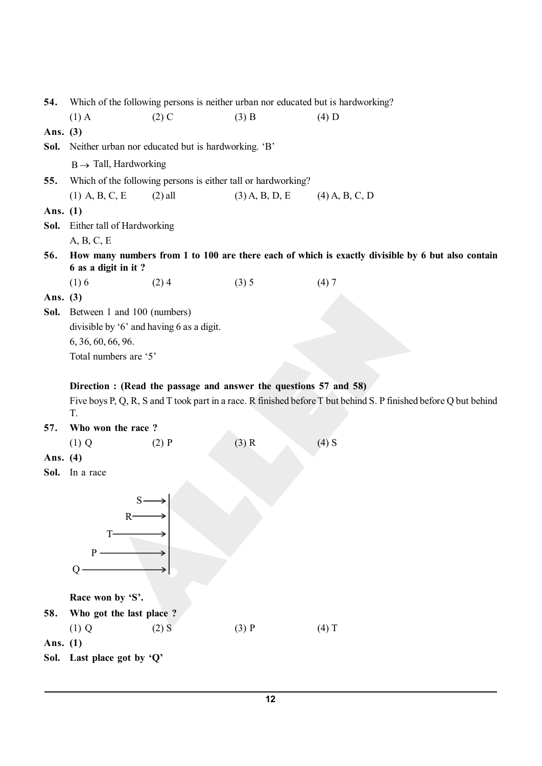| 54.        |                                                                                                                                                                                             | Which of the following persons is neither urban nor educated but is hardworking? |                  |                                                                                                   |  |
|------------|---------------------------------------------------------------------------------------------------------------------------------------------------------------------------------------------|----------------------------------------------------------------------------------|------------------|---------------------------------------------------------------------------------------------------|--|
|            | $(1)$ A                                                                                                                                                                                     | $(2)$ C                                                                          | $(3)$ B          | $(4)$ D                                                                                           |  |
| Ans. (3)   |                                                                                                                                                                                             |                                                                                  |                  |                                                                                                   |  |
| Sol.       |                                                                                                                                                                                             | Neither urban nor educated but is hardworking. 'B'                               |                  |                                                                                                   |  |
|            | $B \rightarrow$ Tall, Hardworking                                                                                                                                                           |                                                                                  |                  |                                                                                                   |  |
| 55.        |                                                                                                                                                                                             | Which of the following persons is either tall or hardworking?                    |                  |                                                                                                   |  |
|            | $(1)$ A, B, C, E                                                                                                                                                                            | $(2)$ all                                                                        | $(3)$ A, B, D, E | $(4)$ A, B, C, D                                                                                  |  |
| Ans. $(1)$ |                                                                                                                                                                                             |                                                                                  |                  |                                                                                                   |  |
| Sol.       | Either tall of Hardworking                                                                                                                                                                  |                                                                                  |                  |                                                                                                   |  |
|            | A, B, C, E                                                                                                                                                                                  |                                                                                  |                  |                                                                                                   |  |
| 56.        | 6 as a digit in it?                                                                                                                                                                         |                                                                                  |                  | How many numbers from 1 to 100 are there each of which is exactly divisible by 6 but also contain |  |
|            | (1)6                                                                                                                                                                                        | (2)4                                                                             | (3) 5            | (4)7                                                                                              |  |
| Ans. $(3)$ |                                                                                                                                                                                             |                                                                                  |                  |                                                                                                   |  |
| Sol.       | Between 1 and 100 (numbers)                                                                                                                                                                 |                                                                                  |                  |                                                                                                   |  |
|            | divisible by '6' and having 6 as a digit.                                                                                                                                                   |                                                                                  |                  |                                                                                                   |  |
|            | 6, 36, 60, 66, 96.                                                                                                                                                                          |                                                                                  |                  |                                                                                                   |  |
|            | Total numbers are '5'                                                                                                                                                                       |                                                                                  |                  |                                                                                                   |  |
|            | Direction : (Read the passage and answer the questions 57 and 58)<br>Five boys P, Q, R, S and T took part in a race. R finished before T but behind S. P finished before Q but behind<br>T. |                                                                                  |                  |                                                                                                   |  |
| 57.        | Who won the race?                                                                                                                                                                           |                                                                                  |                  |                                                                                                   |  |
|            | $(1)$ Q                                                                                                                                                                                     | $(2)$ P                                                                          | $(3)$ R          | $(4)$ S                                                                                           |  |
| Ans. (4)   |                                                                                                                                                                                             |                                                                                  |                  |                                                                                                   |  |
| Sol.       | In a race                                                                                                                                                                                   |                                                                                  |                  |                                                                                                   |  |
|            | $S-$<br>R<br>$\mathbf{P}$<br>Q                                                                                                                                                              |                                                                                  |                  |                                                                                                   |  |
|            | Race won by 'S'.                                                                                                                                                                            |                                                                                  |                  |                                                                                                   |  |
| 58.        | Who got the last place?                                                                                                                                                                     |                                                                                  |                  |                                                                                                   |  |
|            | $(1)$ Q                                                                                                                                                                                     | $(2)$ S                                                                          | $(3)$ P          | $(4)$ T                                                                                           |  |
| Ans. $(1)$ |                                                                                                                                                                                             |                                                                                  |                  |                                                                                                   |  |
|            | Sol. Last place got by 'Q'                                                                                                                                                                  |                                                                                  |                  |                                                                                                   |  |
|            |                                                                                                                                                                                             |                                                                                  |                  |                                                                                                   |  |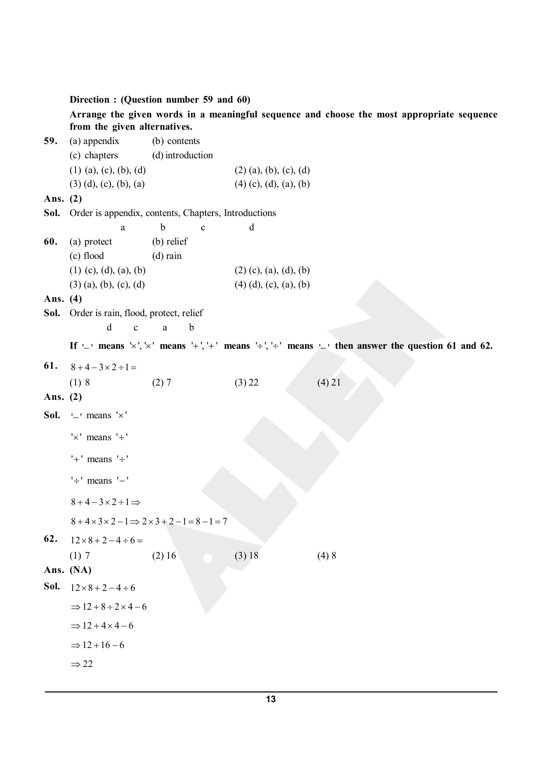### **Direction : (Question number 59 and 60)**

**Arrange the given words in a meaningful sequence and choose the most appropriate sequence from the given alternatives.**

**59.** (a) appendix (b) contents (c) chapters (d) introduction (1) (a), (c), (b), (d) (2) (a), (b), (c), (d) (3) (d), (c), (b), (a) (4) (c), (d), (a), (b) **Ans. (2) Sol.** Order is appendix, contents, Chapters, Introductions a b c d **60.** (a) protect (b) relief (c) flood (d) rain (1) (c), (d), (a), (b) (2) (c), (a), (d), (b) (3) (a), (b), (c), (d) (4) (d), (c), (a), (b) **Ans. (4) Sol.** Order is rain, flood, protect, relief d c a b If  $\perp$  means  $\vee$ ,  $\vee$  means  $\perp$ ,  $\perp$  means  $\perp$ ,  $\perp$  means  $\perp$  then answer the question 61 and 62. 61.  $8+4-3\times2 \div 1 =$ (1) 8 (2) 7 (3) 22 (4) 21 **Ans. (2) Sol.**  $-$  ' means ' $\times$ '  $' \times'$  means  $' +'$  $'+'$  means  $' \div'$  $' \div'$  means  $' -'$  $8+4-3\times2\div1\Rightarrow$  $8+4\times3\times2-1 \Rightarrow 2\times3+2-1=8-1=7$ **62.**  $12 \times 8 + 2 - 4 \div 6 =$ (1) 7 (2) 16 (3) 18 (4) 8 **Ans. (NA) Sol.**  $12 \times 8 + 2 - 4 \div 6$  $\Rightarrow$  12 + 8 ÷ 2 × 4 – 6  $\Rightarrow$  12 + 4  $\times$  4 – 6  $\Rightarrow 12 + 16 - 6$  $\Rightarrow$  22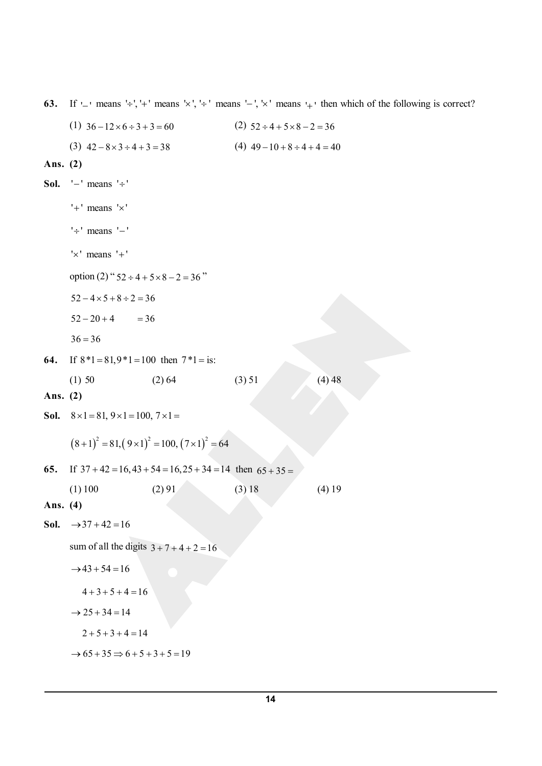**63.** If  $\sqcup$  means  $\div$ ,  $\vdash$  means  $\lor$ ,  $\div$  means  $\vdash$ ,  $\lor$  means  $\vdash$  then which of the following is correct? (1)  $36 - 12 \times 6 \div 3 + 3 = 60$  (2)  $52 \div 4 + 5 \times 8 - 2 = 36$ (3)  $42 - 8 \times 3 \div 4 + 3 = 38$  <br> (4)  $49 - 10 + 8 \div 4 + 4 = 40$ **Ans. (2) Sol.**  $'$  - ' means  $' \div '$  $'+'$  means  $' \times'$  $' \div'$  means  $' -'$ ' $\times$ ' means ' $+$ ' option (2) "  $52 \div 4 + 5 \times 8 - 2 = 36$ "  $52 - 4 \times 5 + 8 \div 2 = 36$  $52 - 20 + 4 = 36$  $36 = 36$ **64.** If  $8*1 = 81,9*1 = 100$  then  $7*1 =$  is: (1) 50 (2) 64 (3) 51 (4) 48 **Ans. (2) Sol.**  $8 \times 1 = 81, 9 \times 1 = 100, 7 \times 1 =$  $(8+1)^2 = 81, (9 \times 1)^2 = 100, (7 \times 1)^2 = 64$ 65. If  $37 + 42 = 16,43 + 54 = 16,25 + 34 = 14$  then  $65 + 35 =$ (1) 100 (2) 91 (3) 18 (4) 19 **Ans. (4) Sol.**  $\rightarrow 37 + 42 = 16$ sum of all the digits  $3 + 7 + 4 + 2 = 16$  $\rightarrow$  43 + 54 = 16  $4 + 3 + 5 + 4 = 16$  $\rightarrow$  25 + 34 = 14  $2 + 5 + 3 + 4 = 14$  $\rightarrow 65 + 35 \Rightarrow 6 + 5 + 3 + 5 = 19$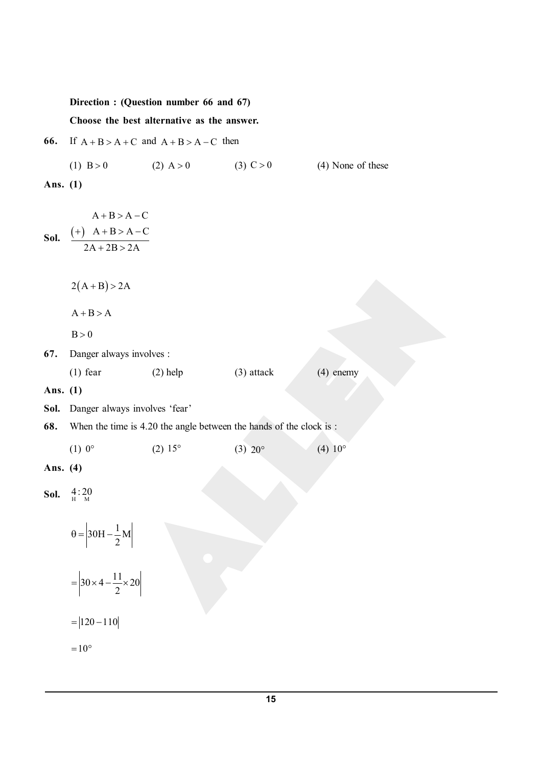## **Direction : (Question number 66 and 67)**

**Choose the best alternative as the answer.**

- **66.** If  $A + B > A + C$  and  $A + B > A C$  then
	- (1) B > 0 (2) A > 0 (3) C > 0 (4) None of these

**Ans. (1)**

**Sol.**  $\frac{(+)}{+}$  A + B > A - C  $A + B > A - C$  $2A + 2B > 2A$  $+)$  A + B > A –  $+ 2B > 2$ 

 $2(A + B) > 2A$ 

 $A + B > A$ 

$$
B > 0
$$

**67.** Danger always involves :

| $(1)$ fear<br>$(2)$ help<br>$(3)$ attack | $(4)$ enemy |
|------------------------------------------|-------------|
|------------------------------------------|-------------|

**Ans. (1)**

**Sol.** Danger always involves 'fear'

**68.** When the time is 4.20 the angle between the hands of the clock is :

(1)  $0^{\circ}$  (2)  $15^{\circ}$  (3)  $20^{\circ}$  (4)  $10^{\circ}$ 

**Ans. (4)**

**Sol.**  $\frac{4}{H}$ : 20

 $30H - \frac{1}{2}M$ 2  $\theta = 30H 30 \times 4 - \frac{11}{2} \times 20$ 2  $= 30 \times 4 - \frac{11}{2} \times 2$  $= |120 - 110|$ 

 $= 10^{\circ}$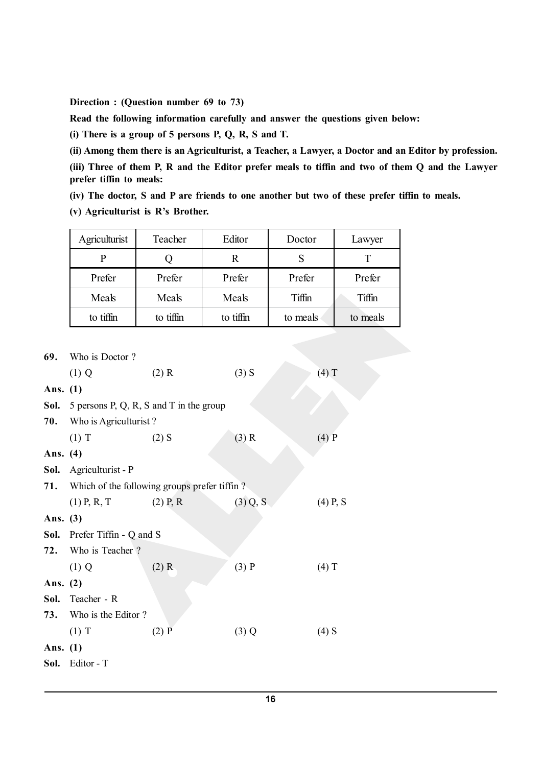**Direction : (Question number 69 to 73)**

**Read the following information carefully and answer the questions given below:**

**(i) There is a group of 5 persons P, Q, R, S and T.**

**(ii) Among them there is an Agriculturist, a Teacher, a Lawyer, a Doctor and an Editor by profession.**

**(iii) Three of them P, R and the Editor prefer meals to tiffin and two of them Q and the Lawyer prefer tiffin to meals:**

**(iv) The doctor, S and P are friends to one another but two of these prefer tiffin to meals.**

**(v) Agriculturist is R's Brother.**

| Agriculturist | Teacher   | Editor    | Doctor   | Lawyer   |
|---------------|-----------|-----------|----------|----------|
| P             |           | R         | S        |          |
| Prefer        | Prefer    | Prefer    | Prefer   | Prefer   |
| Meals         | Meals     | Meals     | Tiffin   | Tiffin   |
| to tiffin     | to tiffin | to tiffin | to meals | to meals |
|               |           |           |          |          |

| 69.        | Who is Doctor?                          |                                              |            |                      |
|------------|-----------------------------------------|----------------------------------------------|------------|----------------------|
|            | $(1)$ Q                                 | $(2)$ R                                      | $(3)$ S    | $(4)$ T              |
| Ans. (1)   |                                         |                                              |            |                      |
| Sol.       | 5 persons P, Q, R, S and T in the group |                                              |            |                      |
| 70.        | Who is Agriculturist?                   |                                              |            |                      |
|            | $(1)$ T                                 | $(2)$ S                                      | $(3)$ R    | $(4)$ $\overline{P}$ |
| Ans. (4)   |                                         |                                              |            |                      |
| Sol.       | Agriculturist - P                       |                                              |            |                      |
| 71.        |                                         | Which of the following groups prefer tiffin? |            |                      |
|            | $(1)$ P, R, T                           | $(2)$ P, R                                   | $(3)$ Q, S | $(4)$ P, S           |
| Ans. (3)   |                                         |                                              |            |                      |
|            | <b>Sol.</b> Prefer Tiffin - Q and S     |                                              |            |                      |
| 72.        | Who is Teacher?                         |                                              |            |                      |
|            | $(1)$ Q                                 | $(2)$ R                                      | $(3)$ P    | $(4)$ T              |
| Ans. (2)   |                                         |                                              |            |                      |
| Sol.       | Teacher - R                             |                                              |            |                      |
| 73.        | Who is the Editor?                      |                                              |            |                      |
|            | $(1)$ T                                 | $(2)$ $\overline{P}$                         | $(3)$ Q    | $(4)$ S              |
| Ans. $(1)$ |                                         |                                              |            |                      |
| Sol.       | Editor - T                              |                                              |            |                      |
|            |                                         |                                              |            |                      |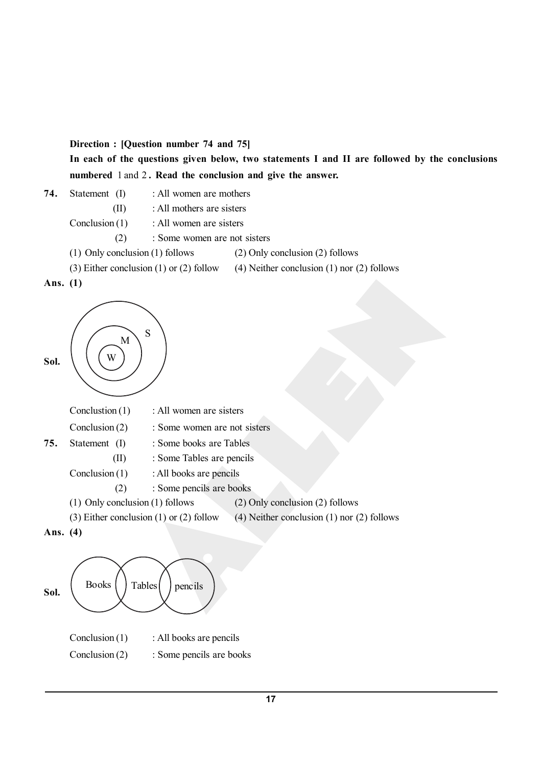**Direction : [Question number 74 and 75]**

**In each of the questions given below, two statements I and II are followed by the conclusions numbered** 1 and 2 **. Read the conclusion and give the answer.**

74. Statement (I) : All women are mothers

(II) : All mothers are sisters

Conclusion (1) : All women are sisters

- (2) : Some women are not sisters
- (1) Only conclusion (1) follows (2) Only conclusion (2) follows
- (3) Either conclusion (1) or (2) follow (4) Neither conclusion (1) nor (2) follows





|     | Conclustion $(1)$ | : All women are sisters      |
|-----|-------------------|------------------------------|
|     | Conclusion $(2)$  | : Some women are not sisters |
| 75. | Statement (I)     | : Some books are Tables      |
|     | (II)              | : Some Tables are pencils    |
|     | Conclusion $(1)$  | : All books are pencils      |
|     | (Z)               | : Some pencils are books     |
|     |                   |                              |

- (1) Only conclusion (1) follows (2) Only conclusion (2) follows
- (3) Either conclusion (1) or (2) follow (4) Neither conclusion (1) nor (2) follows
- **Ans. (4)**

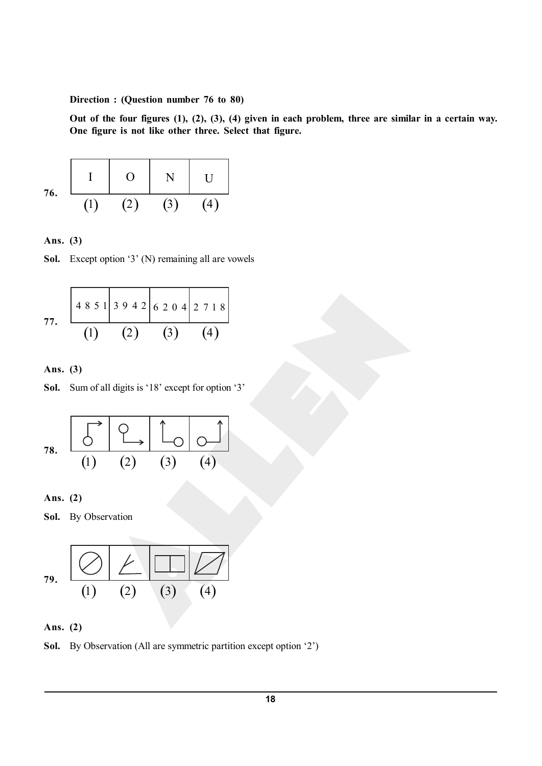**Direction : (Question number 76 to 80)**

**Out of the four figures (1), (2), (3), (4) given in each problem, three are similar in a certain way. One figure is not like other three. Select that figure.**

**76.** I O N U ( )1 ( ) 2 ( )3 ( ) 4

**Ans. (3)**



**77.** 4851 39 42 6 20 4 2 718 ( )1 ( ) 2 ( )3 ( ) 4

**Ans. (3)**

**Sol.** Sum of all digits is '18' except for option '3'

$$
78. \begin{array}{|c|c|c|c|}\n\hline\n\circ & \circ \\
\hline\n\circ & \circ \\
\hline\n\circ & \circ \\
\hline\n\circ & \circ \\
\hline\n\circ & \circ \\
\hline\n\circ & \circ \\
\hline\n\circ & \circ \\
\hline\n\circ & \circ \\
\hline\n\circ & \circ \\
\hline\n\circ & \circ \\
\hline\n\circ & \circ \\
\hline\n\circ & \circ \\
\hline\n\circ & \circ \\
\hline\n\circ & \circ \\
\hline\n\circ & \circ \\
\hline\n\circ & \circ \\
\hline\n\circ & \circ \\
\hline\n\circ & \circ \\
\hline\n\circ & \circ \\
\hline\n\circ & \circ \\
\hline\n\circ & \circ \\
\hline\n\circ & \circ \\
\hline\n\circ & \circ \\
\hline\n\circ & \circ \\
\hline\n\circ & \circ \\
\hline\n\circ & \circ \\
\hline\n\circ & \circ \\
\hline\n\circ & \circ \\
\hline\n\circ & \circ \\
\hline\n\circ & \circ \\
\hline\n\circ & \circ \\
\hline\n\circ & \circ \\
\hline\n\circ & \circ \\
\hline\n\circ & \circ \\
\hline\n\circ & \circ \\
\hline\n\circ & \circ \\
\hline\n\circ & \circ \\
\hline\n\circ & \circ \\
\hline\n\circ & \circ \\
\hline\n\circ & \circ \\
\hline\n\circ & \circ \\
\hline\n\circ & \circ \\
\hline\n\circ & \circ \\
\hline\n\circ & \circ \\
\hline\n\circ & \circ \\
\hline\n\circ & \circ \\
\hline\n\circ & \circ \\
\hline\n\circ & \circ \\
\hline\n\circ & \circ \\
\hline\n\circ & \circ \\
\hline\n\circ & \circ \\
\hline\n\circ & \circ \\
\hline\n\circ & \circ \\
\hline\n\circ & \circ \\
\hline\n\circ & \circ \\
\hline\n\circ & \circ \\
\hline\n\circ & \circ \\
\hline\n\circ & \circ \\
\hline\n\circ & \circ \\
\hline\n\circ & \circ \\
\hline\n\circ & \circ \\
\hline\n\circ & \circ \\
\hline\n\circ & \circ \\
\hline\n\circ & \circ \\
\hline\n\circ & \circ \\
\hline\n\circ & \circ \\
\hline\n\circ & \circ \\
\hline\n\circ & \circ \\
\hline\n\circ & \circ \\
\hline\n\circ & \circ \\
\hline\n\circ & \circ \\
\hline\n\circ & \circ \\
\hline\n\circ & \circ \\
\hline\n\circ & \circ \\
$$

**Ans. (2)**

**Sol.** By Observation

79. 
$$
\frac{1}{\binom{1}{1}} \frac{1}{\binom{2}{1}} \frac{1}{\binom{3}{1}} \frac{1}{\binom{4}{1}}
$$

**Ans. (2)**

**Sol.** By Observation (All are symmetric partition except option '2')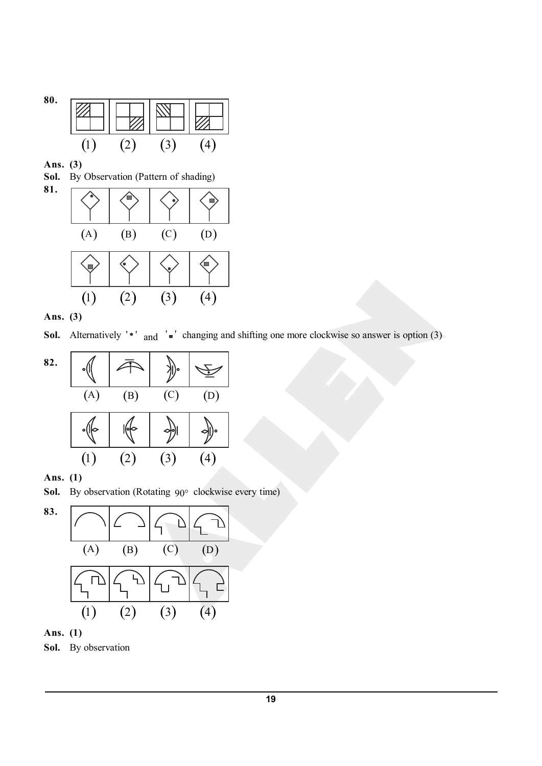

**Ans. (3)**

**81.**

**Sol.** By Observation (Pattern of shading)



**Ans. (3)**

**Sol.** Alternatively ' $\bullet$ ' and ' $\bullet$ ' changing and shifting one more clockwise so answer is option (3)



**Ans. (1)**

Sol. By observation (Rotating 90° clockwise every time)



**Ans. (1)**

**Sol.** By observation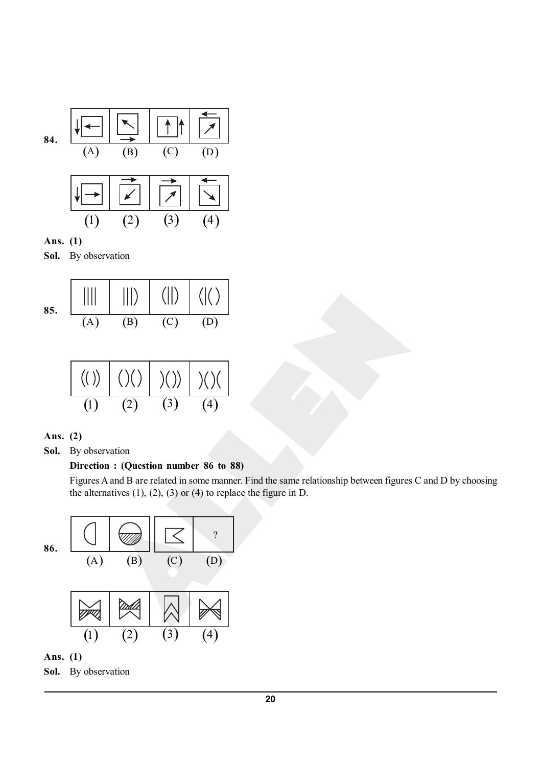

**Sol.** By observation

85. 
$$
\begin{array}{c|c|c|c|c} |||| & |||| \end{array}
$$
 (85. 
$$
\begin{array}{c|c|c} |||| & |||| \end{array}
$$
 (86. 
$$
\begin{array}{c|c|c} (A) & (B) & (C) & (D) \end{array}
$$

$$
(1) (2) (3) (4)
$$

# **Ans. (2)**

**Sol.** By observation

## **Direction : (Question number 86 to 88)**

Figures A and B are related in some manner. Find the same relationship between figures C and D by choosing the alternatives  $(1)$ ,  $(2)$ ,  $(3)$  or  $(4)$  to replace the figure in D.



# **Ans. (1)**

**Sol.** By observation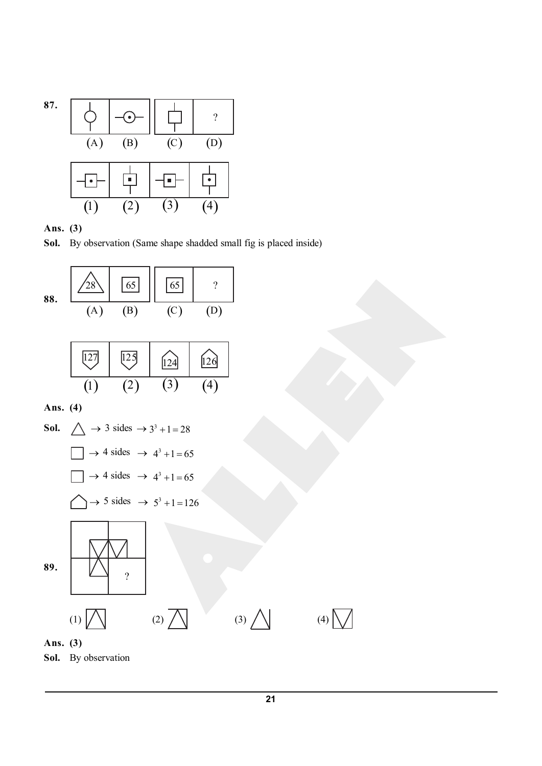



Sol. By observation (Same shape shadded small fig is placed inside)



**Sol.** By observation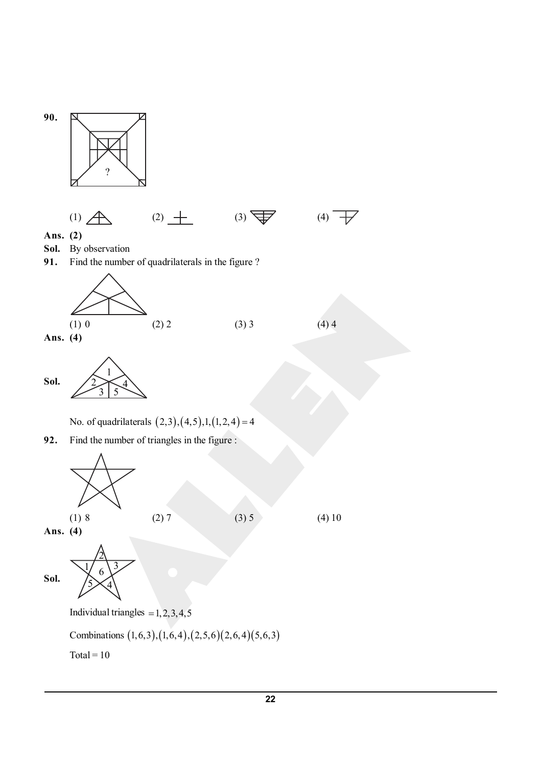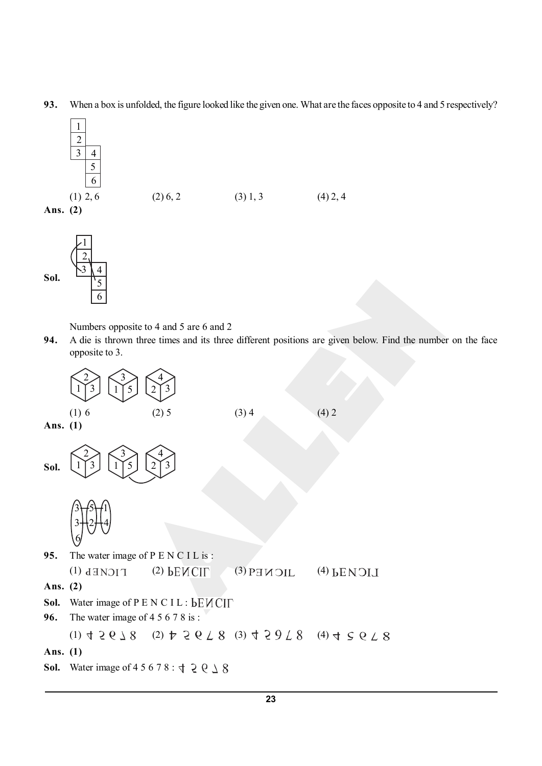**93.** When a box is unfolded, the figure looked like the given one. What are the faces opposite to 4 and 5 respectively?





Numbers opposite to 4 and 5 are 6 and 2

**94.** A die is thrown three times and its three different positions are given below. Find the number on the face opposite to 3.